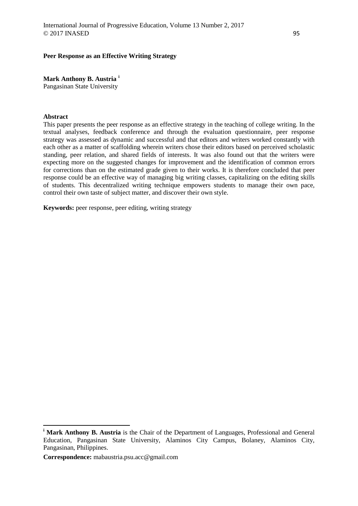# **Peer Response as an Effective Writing Strategy**

**Mark Anthony B. Austria [i](#page-0-0)**

Pangasinan State University

# **Abstract**

 $\overline{a}$ 

This paper presents the peer response as an effective strategy in the teaching of college writing. In the textual analyses, feedback conference and through the evaluation questionnaire, peer response strategy was assessed as dynamic and successful and that editors and writers worked constantly with each other as a matter of scaffolding wherein writers chose their editors based on perceived scholastic standing, peer relation, and shared fields of interests. It was also found out that the writers were expecting more on the suggested changes for improvement and the identification of common errors for corrections than on the estimated grade given to their works. It is therefore concluded that peer response could be an effective way of managing big writing classes, capitalizing on the editing skills of students. This decentralized writing technique empowers students to manage their own pace, control their own taste of subject matter, and discover their own style.

**Keywords:** peer response, peer editing, writing strategy

<span id="page-0-0"></span><sup>&</sup>lt;sup>i</sup> Mark Anthony B. Austria is the Chair of the Department of Languages, Professional and General Education, Pangasinan State University, Alaminos City Campus, Bolaney, Alaminos City, Pangasinan, Philippines.

**Correspondence:** mabaustria.psu.acc@gmail.com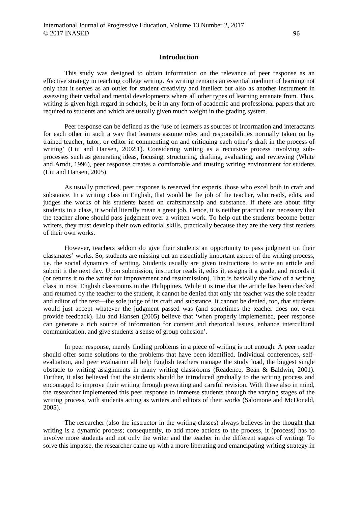# **Introduction**

This study was designed to obtain information on the relevance of peer response as an effective strategy in teaching college writing. As writing remains an essential medium of learning not only that it serves as an outlet for student creativity and intellect but also as another instrument in assessing their verbal and mental developments where all other types of learning emanate from. Thus, writing is given high regard in schools, be it in any form of academic and professional papers that are required to students and which are usually given much weight in the grading system.

Peer response can be defined as the 'use of learners as sources of information and interactants for each other in such a way that learners assume roles and responsibilities normally taken on by trained teacher, tutor, or editor in commenting on and critiquing each other's draft in the process of writing' (Liu and Hansen, 2002:1). Considering writing as a recursive process involving subprocesses such as generating ideas, focusing, structuring, drafting, evaluating, and reviewing (White and Arndt, 1996), peer response creates a comfortable and trusting writing environment for students (Liu and Hansen, 2005).

As usually practiced, peer response is reserved for experts, those who excel both in craft and substance. In a writing class in English, that would be the job of the teacher, who reads, edits, and judges the works of his students based on craftsmanship and substance. If there are about fifty students in a class, it would literally mean a great job. Hence, it is neither practical nor necessary that the teacher alone should pass judgment over a written work. To help out the students become better writers, they must develop their own editorial skills, practically because they are the very first readers of their own works.

However, teachers seldom do give their students an opportunity to pass judgment on their classmates' works. So, students are missing out an essentially important aspect of the writing process, i.e. the social dynamics of writing. Students usually are given instructions to write an article and submit it the next day. Upon submission, instructor reads it, edits it, assigns it a grade, and records it (or returns it to the writer for improvement and resubmission). That is basically the flow of a writing class in most English classrooms in the Philippines. While it is true that the article has been checked and returned by the teacher to the student, it cannot be denied that only the teacher was the sole reader and editor of the text—the sole judge of its craft and substance. It cannot be denied, too, that students would just accept whatever the judgment passed was (and sometimes the teacher does not even provide feedback). Liu and Hansen (2005) believe that 'when properly implemented, peer response can generate a rich source of information for content and rhetorical issues, enhance intercultural communication, and give students a sense of group cohesion'.

In peer response, merely finding problems in a piece of writing is not enough. A peer reader should offer some solutions to the problems that have been identified. Individual conferences, selfevaluation, and peer evaluation all help English teachers manage the study load, the biggest single obstacle to writing assignments in many writing classrooms (Readence, Bean & Baldwin, 2001). Further, it also believed that the students should be introduced gradually to the writing process and encouraged to improve their writing through prewriting and careful revision. With these also in mind, the researcher implemented this peer response to immerse students through the varying stages of the writing process, with students acting as writers and editors of their works (Salomone and McDonald, 2005).

The researcher (also the instructor in the writing classes) always believes in the thought that writing is a dynamic process; consequently, to add more actions to the process, it (process) has to involve more students and not only the writer and the teacher in the different stages of writing. To solve this impasse, the researcher came up with a more liberating and emancipating writing strategy in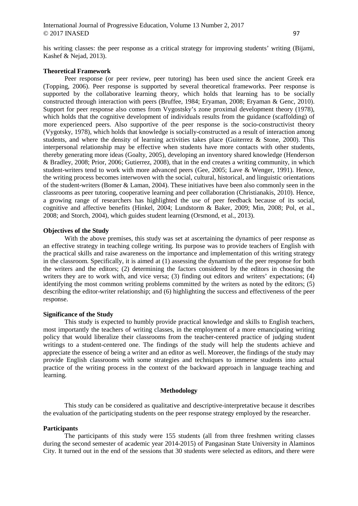his writing classes: the peer response as a critical strategy for improving students' writing (Bijami, Kashef & Nejad, 2013).

# **Theoretical Framework**

Peer response (or peer review, peer tutoring) has been used since the ancient Greek era (Topping, 2006). Peer response is supported by several theoretical frameworks. Peer response is supported by the collaborative learning theory, which holds that learning has to be socially constructed through interaction with peers (Bruffee, 1984; Eryaman, 2008; Eryaman & Genc, 2010). Support for peer response also comes from Vygostsky's zone proximal development theory (1978), which holds that the cognitive development of individuals results from the guidance (scaffolding) of more experienced peers. Also supportive of the peer response is the socio-constructivist theory (Vygotsky, 1978), which holds that knowledge is socially-constructed as a result of interaction among students, and where the density of learning activities takes place (Guiterrez  $\&$  Stone, 2000). This interpersonal relationship may be effective when students have more contacts with other students, thereby generating more ideas (Goalty, 2005), developing an inventory shared knowledge (Henderson & Bradley, 2008; Prior, 2006; Gutierrez, 2008), that in the end creates a writing community, in which student-writers tend to work with more advanced peers (Gee, 2005; Lave & Wenger, 1991). Hence, the writing process becomes interwoven with the social, cultural, historical, and linguistic orientations of the student-writers (Bomer & Laman, 2004). These initiatives have been also commonly seen in the classrooms as peer tutoring, cooperative learning and peer collaboration (Christianakis, 2010). Hence, a growing range of researchers has highlighted the use of peer feedback because of its social, cognitive and affective benefits (Hinkel, 2004; Lundstorm & Baker, 2009; Min, 2008; Pol, et al., 2008; and Storch, 2004), which guides student learning (Orsmond, et al., 2013).

### **Objectives of the Study**

With the above premises, this study was set at ascertaining the dynamics of peer response as an effective strategy in teaching college writing. Its purpose was to provide teachers of English with the practical skills and raise awareness on the importance and implementation of this writing strategy in the classroom. Specifically, it is aimed at (1) assessing the dynamism of the peer response for both the writers and the editors; (2) determining the factors considered by the editors in choosing the writers they are to work with, and vice versa; (3) finding out editors and writers' expectations; (4) identifying the most common writing problems committed by the writers as noted by the editors; (5) describing the editor-writer relationship; and (6) highlighting the success and effectiveness of the peer response.

## **Significance of the Study**

This study is expected to humbly provide practical knowledge and skills to English teachers, most importantly the teachers of writing classes, in the employment of a more emancipating writing policy that would liberalize their classrooms from the teacher-centered practice of judging student writings to a student-centered one. The findings of the study will help the students achieve and appreciate the essence of being a writer and an editor as well. Moreover, the findings of the study may provide English classrooms with some strategies and techniques to immerse students into actual practice of the writing process in the context of the backward approach in language teaching and learning.

## **Methodology**

This study can be considered as qualitative and descriptive-interpretative because it describes the evaluation of the participating students on the peer response strategy employed by the researcher.

#### **Participants**

The participants of this study were 155 students (all from three freshmen writing classes during the second semester of academic year 2014-2015) of Pangasinan State University in Alaminos City. It turned out in the end of the sessions that 30 students were selected as editors, and there were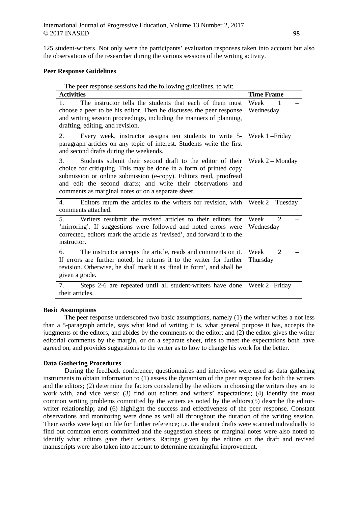125 student-writers. Not only were the participants' evaluation responses taken into account but also the observations of the researcher during the various sessions of the writing activity.

# **Peer Response Guidelines**

The peer response sessions had the following guidelines, to wit:

| <b>Activities</b>                                                                                                                                                                                                                                                                                                                          | <b>Time Frame</b>                                |
|--------------------------------------------------------------------------------------------------------------------------------------------------------------------------------------------------------------------------------------------------------------------------------------------------------------------------------------------|--------------------------------------------------|
| The instructor tells the students that each of them must<br>$1_{-}$<br>choose a peer to be his editor. Then he discusses the peer response<br>and writing session proceedings, including the manners of planning,<br>drafting, editing, and revision.                                                                                      | Week<br>1<br>Wednesday                           |
| 2.<br>Every week, instructor assigns ten students to write 5-<br>paragraph articles on any topic of interest. Students write the first<br>and second drafts during the weekends.                                                                                                                                                           | Week 1-Friday                                    |
| Students submit their second draft to the editor of their<br>$\mathcal{E}$<br>choice for critiquing. This may be done in a form of printed copy<br>submission or online submission (e-copy). Editors read, proofread<br>and edit the second drafts; and write their observations and<br>comments as marginal notes or on a separate sheet. | Week $2 -$ Monday                                |
| Editors return the articles to the writers for revision, with<br>$\mathbf{4}$ .<br>comments attached.                                                                                                                                                                                                                                      | Week $2$ – Tuesday                               |
| Writers resubmit the revised articles to their editors for<br>$5^{\circ}$<br>'mirroring'. If suggestions were followed and noted errors were<br>corrected, editors mark the article as 'revised', and forward it to the<br>instructor.                                                                                                     | $\mathcal{D}_{\mathcal{L}}$<br>Week<br>Wednesday |
| The instructor accepts the article, reads and comments on it.<br>6.<br>If errors are further noted, he returns it to the writer for further<br>revision. Otherwise, he shall mark it as 'final in form', and shall be<br>given a grade.                                                                                                    | Week<br>$\overline{2}$<br>Thursday               |
| Steps 2-6 are repeated until all student-writers have done<br>7.<br>their articles.                                                                                                                                                                                                                                                        | Week 2-Friday                                    |

### **Basic Assumptions**

The peer response underscored two basic assumptions, namely (1) the writer writes a not less than a 5-paragraph article, says what kind of writing it is, what general purpose it has, accepts the judgments of the editors, and abides by the comments of the editor; and (2) the editor gives the writer editorial comments by the margin, or on a separate sheet, tries to meet the expectations both have agreed on, and provides suggestions to the writer as to how to change his work for the better.

### **Data Gathering Procedures**

During the feedback conference, questionnaires and interviews were used as data gathering instruments to obtain information to (1) assess the dynamism of the peer response for both the writers and the editors; (2) determine the factors considered by the editors in choosing the writers they are to work with, and vice versa; (3) find out editors and writers' expectations; (4) identify the most common writing problems committed by the writers as noted by the editors;(5) describe the editorwriter relationship; and (6) highlight the success and effectiveness of the peer response. Constant observations and monitoring were done as well all throughout the duration of the writing session. Their works were kept on file for further reference; i.e. the student drafts were scanned individually to find out common errors committed and the suggestion sheets or marginal notes were also noted to identify what editors gave their writers. Ratings given by the editors on the draft and revised manuscripts were also taken into account to determine meaningful improvement.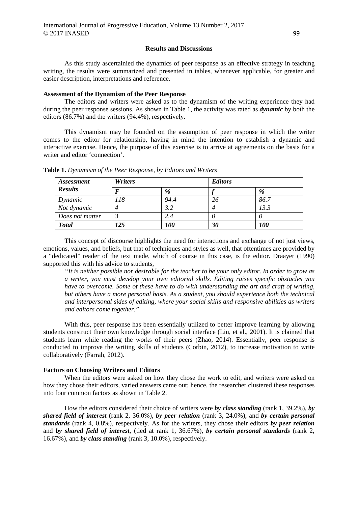### **Results and Discussions**

As this study ascertainied the dynamics of peer response as an effective strategy in teaching writing, the results were summarized and presented in tables, whenever applicable, for greater and easier description, interpretations and reference.

#### **Assessment of the Dynamism of the Peer Response**

The editors and writers were asked as to the dynamism of the writing experience they had during the peer response sessions. As shown in Table 1, the activity was rated as *dynamic* by both the editors (86.7%) and the writers (94.4%), respectively.

This dynamism may be founded on the assumption of peer response in which the writer comes to the editor for relationship, having in mind the intention to establish a dynamic and interactive exercise. Hence, the purpose of this exercise is to arrive at agreements on the basis for a writer and editor 'connection'.

| <i>Assessment</i> | <b>Writers</b> |            | <b>Editors</b> |            |  |
|-------------------|----------------|------------|----------------|------------|--|
| <b>Results</b>    |                | %          |                | %          |  |
| Dynamic           | 118            | 94.4       | 26             | 86.7       |  |
| Not dynamic       |                | 3.2        |                | 13.3       |  |
| Does not matter   |                | 2.4        |                |            |  |
| <b>Total</b>      | 125            | <i>100</i> | 30             | <b>100</b> |  |

**Table 1.** *Dynamism of the Peer Response, by Editors and Writers*

This concept of discourse highlights the need for interactions and exchange of not just views, emotions, values, and beliefs, but that of techniques and styles as well, that oftentimes are provided by a "dedicated" reader of the text made, which of course in this case, is the editor. Draayer (1990) supported this with his advice to students,

*"It is neither possible nor desirable for the teacher to be your only editor. In order to grow as a writer, you must develop your own editorial skills. Editing raises specific obstacles you have to overcome. Some of these have to do with understanding the art and craft of writing, but others have a more personal basis. As a student, you should experience both the technical and interpersonal sides of editing, where your social skills and responsive abilities as writers and editors come together."*

With this, peer response has been essentially utilized to better improve learning by allowing students construct their own knowledge through social interface (Liu, et al., 2001). It is claimed that students learn while reading the works of their peers (Zhao, 2014). Essentially, peer response is conducted to improve the writing skills of students (Corbin, 2012), to increase motivation to write collaboratively (Farrah, 2012).

#### **Factors on Choosing Writers and Editors**

When the editors were asked on how they chose the work to edit, and writers were asked on how they chose their editors, varied answers came out; hence, the researcher clustered these responses into four common factors as shown in Table 2.

How the editors considered their choice of writers were *by class standing* (rank 1, 39.2%), *by shared field of interest* (rank 2, 36.0%), *by peer relation* (rank 3, 24.0%), and *by certain personal standards* (rank 4, 0.8%), respectively. As for the writers, they chose their editors *by peer relation*  and *by shared field of interest*, (tied at rank 1, 36.67%), *by certain personal standards* (rank 2, 16.67%), and *by class standing* (rank 3, 10.0%), respectively.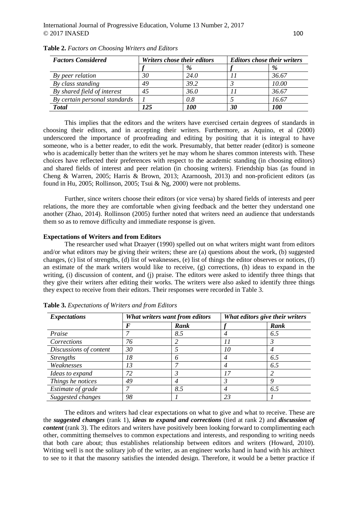| <b>Factors Considered</b>     | Writers chose their editors |            | <b>Editors chose their writers</b> |            |
|-------------------------------|-----------------------------|------------|------------------------------------|------------|
|                               |                             | %          |                                    | %          |
| By peer relation              | 30                          | 24.0       |                                    | 36.67      |
| By class standing             | 49                          | 39.2       |                                    | 10.00      |
| By shared field of interest   | 45                          | 36.0       |                                    | 36.67      |
| By certain personal standards |                             | 0.8        |                                    | 16.67      |
| <b>Total</b>                  | 125                         | <i>100</i> | 30                                 | <i>100</i> |

**Table 2.** *Factors on Choosing Writers and Editors*

This implies that the editors and the writers have exercised certain degrees of standards in choosing their editors, and in accepting their writers. Furthermore, as Aquino, et al (2000) underscored the importance of proofreading and editing by positing that it is integral to have someone, who is a better reader, to edit the work. Presumably, that better reader (editor) is someone who is academically better than the writers yet he may whom he shares common interests with. These choices have reflected their preferences with respect to the academic standing (in choosing editors) and shared fields of interest and peer relation (in choosing writers). Friendship bias (as found in Cheng & Warren, 2005; Harris & Brown, 2013; Azarnoosh, 2013) and non-proficient editors (as found in Hu, 2005; Rollinson, 2005; Tsui & Ng, 2000) were not problems.

Further, since writers choose their editors (or vice versa) by shared fields of interests and peer relations, the more they are comfortable when giving feedback and the better they understand one another (Zhao, 2014). Rollinson (2005) further noted that writers need an audience that understands them so as to remove difficulty and immediate response is given.

### **Expectations of Writers and from Editors**

The researcher used what Draayer (1990) spelled out on what writers might want from editors and/or what editors may be giving their writers; these are (a) questions about the work, (b) suggested changes, (c) list of strengths, (d) list of weaknesses, (e) list of things the editor observes or notices, (f) an estimate of the mark writers would like to receive, (g) corrections, (h) ideas to expand in the writing, (i) discussion of content, and (j) praise. The editors were asked to identify three things that they give their writers after editing their works. The writers were also asked to identify three things they expect to receive from their editors. Their responses were recorded in Table 3.

| <b>Expectations</b>    | What writers want from editors |      | What editors give their writers |      |
|------------------------|--------------------------------|------|---------------------------------|------|
|                        | F                              | Rank |                                 | Rank |
| Praise                 |                                | 8.5  | 4                               | 6.5  |
| Corrections            | 76                             |      |                                 |      |
| Discussions of content | 30                             |      | 10                              |      |
| <i>Strengths</i>       | 18                             | 6    | 4                               | 6.5  |
| Weaknesses             | 13                             |      | 4                               | 6.5  |
| Ideas to expand        | 72                             | 3    |                                 |      |
| Things he notices      | 49                             | 4    |                                 | Q    |
| Estimate of grade      |                                | 8.5  | 4                               | 6.5  |
| Suggested changes      | 98                             |      | 23                              |      |

**Table 3.** *Expectations of Writers and from Editors*

The editors and writers had clear expectations on what to give and what to receive. These are the *suggested changes* (rank 1), *ideas to expand and corrections* (tied at rank 2) and *discussion of content* (rank 3). The editors and writers have positively been looking forward to complimenting each other, committing themselves to common expectations and interests, and responding to writing needs that both care about; thus establishes relationship between editors and writers (Howard, 2010). Writing well is not the solitary job of the writer, as an engineer works hand in hand with his architect to see to it that the masonry satisfies the intended design. Therefore, it would be a better practice if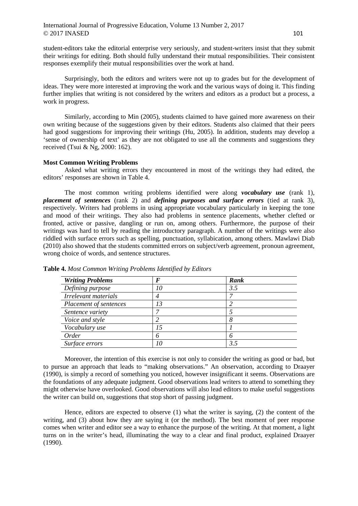student-editors take the editorial enterprise very seriously, and student-writers insist that they submit their writings for editing. Both should fully understand their mutual responsibilities. Their consistent responses exemplify their mutual responsibilities over the work at hand.

Surprisingly, both the editors and writers were not up to grades but for the development of ideas. They were more interested at improving the work and the various ways of doing it. This finding further implies that writing is not considered by the writers and editors as a product but a process, a work in progress.

Similarly, according to Min (2005), students claimed to have gained more awareness on their own writing because of the suggestions given by their editors. Students also claimed that their peers had good suggestions for improving their writings (Hu, 2005). In addition, students may develop a 'sense of ownership of text' as they are not obligated to use all the comments and suggestions they received (Tsui & Ng, 2000: 162).

### **Most Common Writing Problems**

Asked what writing errors they encountered in most of the writings they had edited, the editors' responses are shown in Table 4.

The most common writing problems identified were along *vocabulary use* (rank 1), *placement of sentences* (rank 2) and *defining purposes and surface errors* (tied at rank 3), respectively. Writers had problems in using appropriate vocabulary particularly in keeping the tone and mood of their writings. They also had problems in sentence placements, whether clefted or fronted, active or passive, dangling or run on, among others. Furthermore, the purpose of their writings was hard to tell by reading the introductory paragraph. A number of the writings were also riddled with surface errors such as spelling, punctuation, syllabication, among others. Mawlawi Diab (2010) also showed that the students committed errors on subject/verb agreement, pronoun agreement, wrong choice of words, and sentence structures.

| <b>Writing Problems</b> | F  | Rank |
|-------------------------|----|------|
| Defining purpose        | 10 | 3.5  |
| Irrelevant materials    | 4  |      |
| Placement of sentences  | 13 |      |
| Sentence variety        |    |      |
| Voice and style         |    |      |
| Vocabulary use          |    |      |
| Order                   | 6  |      |
| Surface errors          |    | 3.5  |

**Table 4.** *Most Common Writing Problems Identified by Editors*

Moreover, the intention of this exercise is not only to consider the writing as good or bad, but to pursue an approach that leads to "making observations." An observation, according to Draayer (1990), is simply a record of something you noticed, however insignificant it seems. Observations are the foundations of any adequate judgment. Good observations lead writers to attend to something they might otherwise have overlooked. Good observations will also lead editors to make useful suggestions the writer can build on, suggestions that stop short of passing judgment.

Hence, editors are expected to observe (1) what the writer is saying, (2) the content of the writing, and (3) about how they are saying it (or the method). The best moment of peer response comes when writer and editor see a way to enhance the purpose of the writing. At that moment, a light turns on in the writer's head, illuminating the way to a clear and final product, explained Draayer (1990).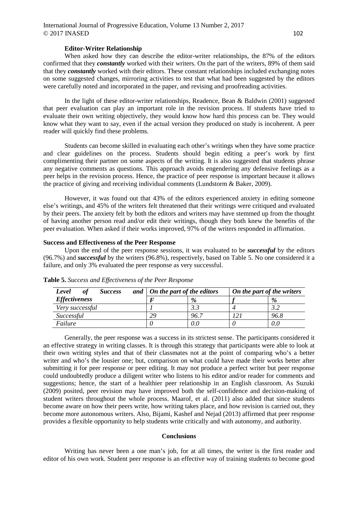# International Journal of Progressive Education, Volume 13 Number 2, 2017  $\odot$  2017 INASED 102

#### **Editor-Writer Relationship**

When asked how they can describe the editor-writer relationships, the 87% of the editors confirmed that they *constantly* worked with their writers. On the part of the writers, 89% of them said that they *constantly* worked with their editors. These constant relationships included exchanging notes on some suggested changes, mirroring activities to test that what had been suggested by the editors were carefully noted and incorporated in the paper, and revising and proofreading activities.

In the light of these editor-writer relationships, Readence, Bean & Baldwin (2001) suggested that peer evaluation can play an important role in the revision process. If students have tried to evaluate their own writing objectively, they would know how hard this process can be. They would know what they want to say, even if the actual version they produced on study is incoherent. A peer reader will quickly find these problems.

Students can become skilled in evaluating each other's writings when they have some practice and clear guidelines on the process. Students should begin editing a peer's work by first complimenting their partner on some aspects of the writing. It is also suggested that students phrase any negative comments as questions. This approach avoids engendering any defensive feelings as a peer helps in the revision process. Hence, the practice of peer response is important because it allows the practice of giving and receiving individual comments (Lundstorm & Baker, 2009).

However, it was found out that 43% of the editors experienced anxiety in editing someone else's writings, and 45% of the writers felt threatened that their writings were critiqued and evaluated by their peers. The anxiety felt by both the editors and writers may have stemmed up from the thought of having another person read and/or edit their writings, though they both knew the benefits of the peer evaluation. When asked if their works improved, 97% of the writers responded in affirmation.

#### **Success and Effectiveness of the Peer Response**

Upon the end of the peer response sessions, it was evaluated to be *successful* by the editors (96.7%) and *successful* by the writers (96.8%), respectively, based on Table 5. No one considered it a failure, and only 3% evaluated the peer response as very successful.

| оf<br><i>Success</i><br>Level | and $\vert$ On the part of the editors |      | On the part of the writers |      |
|-------------------------------|----------------------------------------|------|----------------------------|------|
| <b>Effectiveness</b>          |                                        | $\%$ |                            | %    |
| Very successful               |                                        |      |                            |      |
| Successful                    | 29                                     | 96.7 |                            | 96.8 |
| Failure                       |                                        | 0.0  |                            | 0.C  |

**Table 5.** *Success and Effectiveness of the Peer Response*

Generally, the peer response was a success in its strictest sense. The participants considered it an effective strategy in writing classes. It is through this strategy that participants were able to look at their own writing styles and that of their classmates not at the point of comparing who's a better writer and who's the lousier one; but, comparison on what could have made their works better after submitting it for peer response or peer editing. It may not produce a perfect writer but peer response could undoubtedly produce a diligent writer who listens to his editor and/or reader for comments and suggestions; hence, the start of a healthier peer relationship in an English classroom. As Suzuki (2009) posited, peer revision may have improved both the self-confidence and decision-making of student writers throughout the whole process. Maarof, et al. (2011) also added that since students become aware on how their peers write, how writing takes place, and how revision is carried out, they become more autonomous writers. Also, Bijami, Kashef and Nejad (2013) affirmed that peer response provides a flexible opportunity to help students write critically and with autonomy, and authority.

#### **Conclusions**

Writing has never been a one man's job, for at all times, the writer is the first reader and editor of his own work. Student peer response is an effective way of training students to become good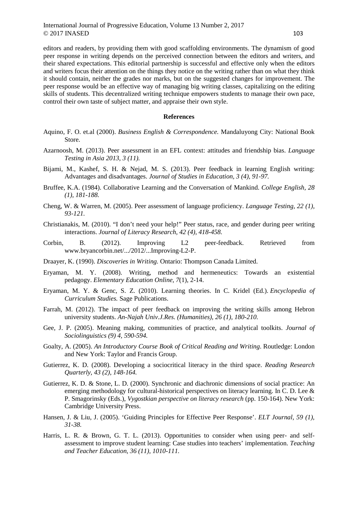editors and readers, by providing them with good scaffolding environments. The dynamism of good peer response in writing depends on the perceived connection between the editors and writers, and their shared expectations. This editorial partnership is successful and effective only when the editors and writers focus their attention on the things they notice on the writing rather than on what they think it should contain, neither the grades nor marks, but on the suggested changes for improvement. The peer response would be an effective way of managing big writing classes, capitalizing on the editing skills of students. This decentralized writing technique empowers students to manage their own pace, control their own taste of subject matter, and appraise their own style.

## **References**

- Aquino, F. O. et.al (2000). *Business English & Correspondence.* Mandaluyong City: National Book Store.
- Azarnoosh, M. (2013). Peer assessment in an EFL context: attitudes and friendship bias. *Language Testing in Asia 2013, 3 (11).*
- Bijami, M., Kashef, S. H. & Nejad, M. S. (2013). Peer feedback in learning English writing: Advantages and disadvantages. *Journal of Studies in Education, 3 (4), 91-97.*
- Bruffee, K.A. (1984). Collaborative Learning and the Conversation of Mankind. *College English, 28 (1), 181-188.*
- Cheng, W. & Warren, M. (2005). Peer assessment of language proficiency. *Language Testing, 22 (1), 93-121.*
- Christianakis, M. (2010). "I don't need your help!" Peer status, race, and gender during peer writing interactions. *Journal of Literacy Research, 42 (4), 418-458.*
- Corbin, B. (2012). Improving L2 peer-feedback. Retrieved from www.bryancorbin.net/.../2012/...Improving-L2-P.
- Draayer, K. (1990). *Discoveries in Writing.* Ontario: Thompson Canada Limited.
- Eryaman, M. Y. (2008). Writing, method and hermeneutics: Towards an existential pedagogy. *Elementary Education Online, 7*(1), 2-14.
- Eryaman, M. Y. & Genc, S. Z. (2010). Learning theories. In C. Kridel (Ed.). *Encyclopedia of Curriculum Studies.* Sage Publications.
- Farrah, M. (2012). The impact of peer feedback on improving the writing skills among Hebron university students. *An-Najah Univ.J.Res. (Humanities), 26 (1), 180-210.*
- Gee, J. P. (2005). Meaning making, communities of practice, and analytical toolkits. *Journal of Sociolinguistics (9) 4, 590-594.*
- Goalty, A. (2005). *An Introductory Course Book of Critical Reading and Writing*. Routledge: London and New York: Taylor and Francis Group.
- Gutierrez, K. D. (2008). Developing a sociocritical literacy in the third space. *Reading Research Quarterly, 43 (2), 148-164.*
- Gutierrez, K. D. & Stone, L. D. (2000). Synchronic and diachronic dimensions of social practice: An emerging methodology for cultural-historical perspectives on literacy learning. In C. D. Lee & P. Smagorinsky (Eds.), *Vygostkian perspective on literacy research* (pp. 150-164). New York: Cambridge University Press.
- Hansen, J. & Liu, J. (2005). 'Guiding Principles for Effective Peer Response'. *ELT Journal, 59 (1), 31-38.*
- Harris, L. R. & Brown, G. T. L. (2013). Opportunities to consider when using peer- and selfassessment to improve student learning: Case studies into teachers' implementation. *Teaching and Teacher Education, 36 (11), 1010-111.*